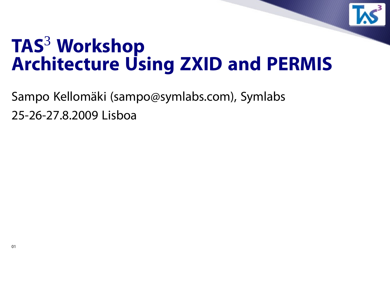

### **TAS**<sup>3</sup> **Workshop Architecture Using ZXID and PERMIS**

Sampo Kellomäki (sampo@symlabs.com), Symlabs 25-26-27.8.2009 Lisboa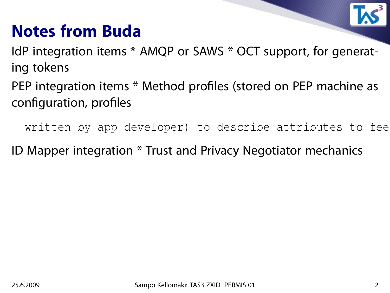#### **Notes from Buda**

IdP integration items \* AMQP or SAWS \* OCT support, for generating tokens

PEP integration items \* Method profiles (stored on PEP machine as configuration, profiles

written by app developer) to describe attributes to fee

ID Mapper integration \* Trust and Privacy Negotiator mechanics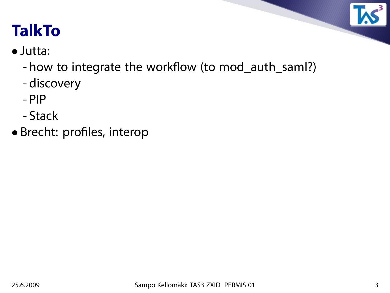

### **TalkTo**

- Jutta:
	- how to integrate the workflow (to mod\_auth\_saml?)
	- discovery
	- PIP
	- Stack
- Brecht: profiles, interop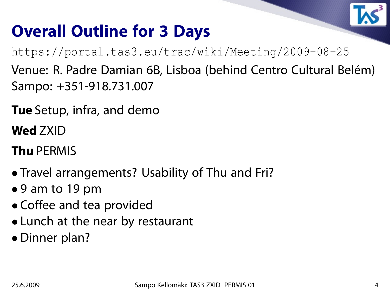

#### **Overall Outline for 3 Days**

https://portal.tas3.eu/trac/wiki/Meeting/2009-08-25

Venue: R. Padre Damian 6B, Lisboa (behind Centro Cultural Belém) Sampo: +351-918.731.007

**Tue** Setup, infra, and demo

**Wed** ZXID

**Thu** PERMIS

- Travel arrangements? Usability of Thu and Fri?
- 9 am to 19 pm
- Coffee and tea provided
- Lunch at the near by restaurant
- Dinner plan?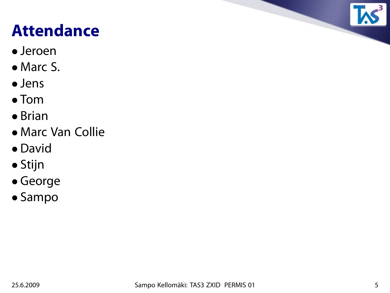## **Attendance**

- Jeroen
- Marc S.
- Jens
- Tom
- Brian
- Marc Van Collie
- David
- Stijn
- George
- Sampo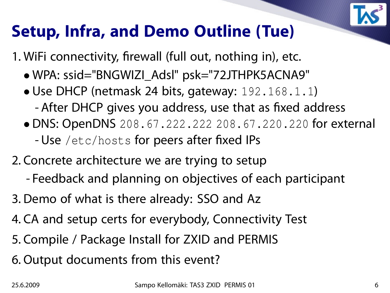

#### **Setup, Infra, and Demo Outline (Tue)**

1. WiFi connectivity, firewall (full out, nothing in), etc.

- WPA: ssid="BNGWIZI\_Adsl" psk="72JTHPK5ACNA9"
- Use DHCP (netmask 24 bits, gateway: 192.168.1.1)
	- After DHCP gives you address, use that as fixed address
- DNS: OpenDNS 208.67.222.222 208.67.220.220 for external - Use /etc/hosts for peers after fixed IPs
- 2. Concrete architecture we are trying to setup
	- Feedback and planning on objectives of each participant
- 3. Demo of what is there already: SSO and Az
- 4. CA and setup certs for everybody, Connectivity Test
- 5. Compile / Package Install for ZXID and PERMIS
- 6. Output documents from this event?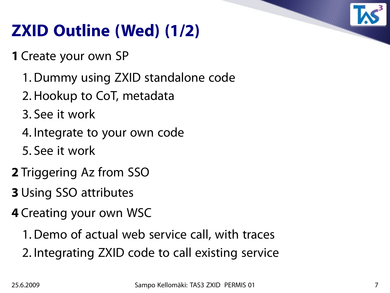

## **ZXID Outline (Wed) (1/2)**

**1** Create your own SP

- 1. Dummy using ZXID standalone code
- 2. Hookup to CoT, metadata
- 3. See it work
- 4. Integrate to your own code
- 5. See it work
- **2** Triggering Az from SSO
- **3** Using SSO attributes
- **4** Creating your own WSC
	- 1. Demo of actual web service call, with traces
	- 2. Integrating ZXID code to call existing service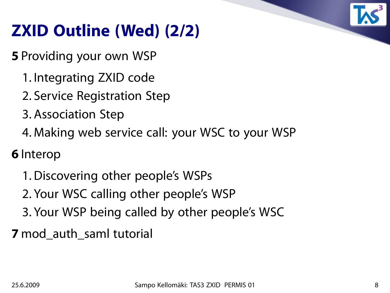

## **ZXID Outline (Wed) (2/2)**

**5** Providing your own WSP

- 1. Integrating ZXID code
- 2. Service Registration Step
- 3. Association Step
- 4. Making web service call: your WSC to your WSP

**6** Interop

- 1. Discovering other people's WSPs
- 2. Your WSC calling other people's WSP
- 3. Your WSP being called by other people's WSC

**7** mod\_auth\_saml tutorial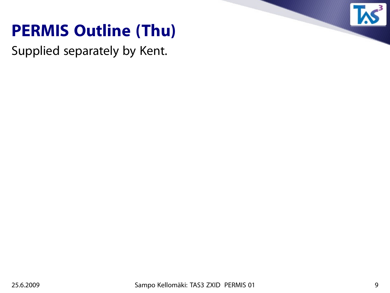#### **PERMIS Outline (Thu)**

Supplied separately by Kent.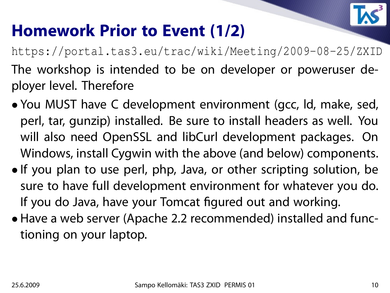

#### **Homework Prior to Event (1/2)**

https://portal.tas3.eu/trac/wiki/Meeting/2009-08-25/ZXID The workshop is intended to be on developer or poweruser deployer level. Therefore

- You MUST have C development environment (gcc, ld, make, sed, perl, tar, gunzip) installed. Be sure to install headers as well. You will also need OpenSSL and libCurl development packages. On Windows, install Cygwin with the above (and below) components.
- If you plan to use perl, php, Java, or other scripting solution, be sure to have full development environment for whatever you do. If you do Java, have your Tomcat figured out and working.
- Have a web server (Apache 2.2 recommended) installed and functioning on your laptop.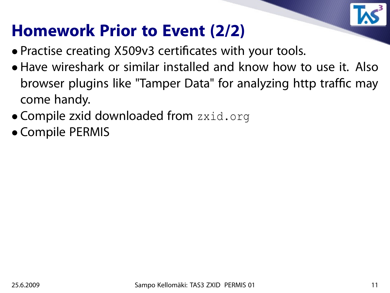

#### **Homework Prior to Event (2/2)**

- Practise creating X509v3 certificates with your tools.
- Have wireshark or similar installed and know how to use it. Also browser plugins like "Tamper Data" for analyzing http traffic may come handy.
- Compile zxid downloaded from zxid.org
- Compile PERMIS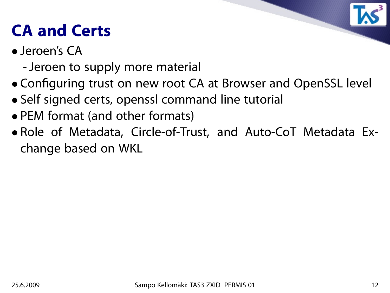# **CA and Certs**

- Jeroen's CA
	- -Jeroen to supply more material
- Configuring trust on new root CA at Browser and OpenSSL level
- Self signed certs, openssl command line tutorial
- PEM format (and other formats)
- Role of Metadata, Circle-of-Trust, and Auto-CoT Metadata Exchange based on WKL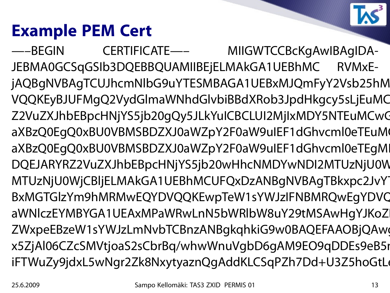## **Example PEM Cert**

—–BEGIN CERTIFICATE—– MIIGWTCCBcKgAwIBAgIDA-JEBMA0GCSqGSIb3DQEBBQUAMIIBEjELMAkGA1UEBhMC RVMxEjAQBgNVBAgTCUJhcmNlbG9uYTESMBAGA1UEBxMJQmFyY2Vsb25hM VQQKEyBJUFMgQ2VydGlmaWNhdGlvbiBBdXRob3JpdHkgcy5sLjEuMC Z2VuZXJhbEBpcHNjYS5jb20gQy5JLkYuICBCLUI2MjIxMDY5NTEuMCwC aXBzQ0EgQ0xBU0VBMSBDZXJ0aWZpY2F0aW9uIEF1dGhvcml0eTEuM aXBzQ0EgQ0xBU0VBMSBDZXJ0aWZpY2F0aW9uIEF1dGhvcml0eTEgMI DQEJARYRZ2VuZXJhbEBpcHNjYS5jb20wHhcNMDYwNDI2MTUzNjU0W MTUzNjU0WjCBljELMAkGA1UEBhMCUFQxDzANBgNVBAgTBkxpc2JvY BxMGTGIzYm9hMRMwEQYDVQQKEwpTeW1sYWJzIFNBMRQwEgYDVC aWNlczEYMBYGA1UEAxMPaWRwLnN5bWRlbW8uY29tMSAwHgYJKoZ ZWxpeEBzeW1sYWJzLmNvbTCBnzANBgkqhkiG9w0BAQEFAAOBjQAw x5ZjAl06CZcSMVtjoaS2sCbrBq/whwWnuVgbD6gAM9EO9qDDEs9eB5i iFTWuZy9jdxL5wNgr2Zk8NxytyaznQgAddKLCSqPZh7Dd+U3Z5hoGtLo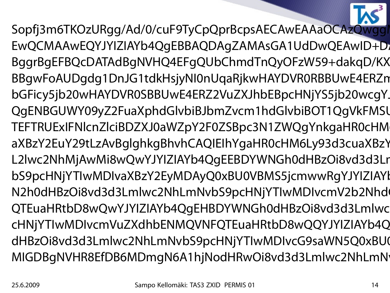

Sopfj3m6TKOzURgg/Ad/0/cuF9TyCpQprBcpsAECAwEAAaOCAzQwgg EwQCMAAwEQYJYIZIAYb4QgEBBAQDAgZAMAsGA1UdDwQEAwID+D1 BggrBgEFBQcDATAdBgNVHQ4EFgQUbChmdTnQyOFzW59+dakqD/KX BBgwFoAUDgdg1DnJG1tdkHsjyNI0nUqaRjkwHAYDVR0RBBUwE4ERZn bGFicy5jb20wHAYDVR0SBBUwE4ERZ2VuZXJhbEBpcHNjYS5jb20wcqY. QgENBGUWY09yZ2FuaXphdGlvbiBJbmZvcm1hdGlvbiBOT1QqVkFMSl TEFTRUExIFNlcnZlciBDZXJ0aWZpY2F0ZSBpc3N1ZWQgYnkgaHR0cHM aXBzY2EuY29tLzAvBglghkgBhvhCAQIEIhYgaHR0cHM6Ly93d3cuaXBzY L2lwc2NhMjAwMi8wQwYJYIZIAYb4QgEEBDYWNGh0dHBzOi8vd3d3Lr bS9pcHNjYTIwMDIvaXBzY2EyMDAyQ0xBU0VBMS5jcmwwRgYJYIZIAYl N2h0dHBzOi8vd3d3Lmlwc2NhLmNvbS9pcHNjYTIwMDIvcmV2b2Nhd QTEuaHRtbD8wQwYJYIZIAYb4QqEHBDYWNGh0dHBzOi8vd3d3Lmlwc cHNjYTIwMDIvcmVuZXdhbENMQVNFQTEuaHRtbD8wQQYJYIZIAYb4Q dHBzOi8vd3d3Lmlwc2NhLmNvbS9pcHNjYTIwMDIvcG9saWN5Q0xBU0 MIGDBgNVHR8EfDB6MDmgN6A1hjNodHRwOi8vd3d3Lmlwc2NhLmN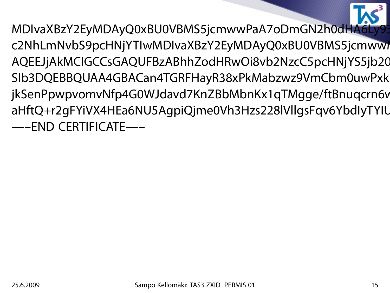MDIvaXBzY2EyMDAyQ0xBU0VBMS5jcmwwPaA7oDmGN2h0dHA6Ly93 c2NhLmNvbS9pcHNjYTIwMDIvaXBzY2EyMDAyQ0xBU0VBMS5jcmwwI AQEEJjAkMCIGCCsGAQUFBzABhhZodHRwOi8vb2NzcC5pcHNjYS5jb20 SIb3DQEBBQUAA4GBACan4TGRFHayR38xPkMabzwz9VmCbm0uwPxk jkSenPpwpvomvNfp4G0WJdavd7KnZBbMbnKx1qTMgge/ftBnuqcrn6v aHftQ+r2gFYiVX4HEa6NU5AgpiQjme0Vh3Hzs228lVllgsFqv6YbdlyTYIU —–END CERTIFICATE—–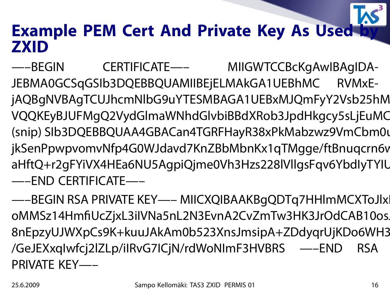#### **Example PEM Cert And Private Key As Used by ZXID**

—–BEGIN CERTIFICATE—– MIIGWTCCBcKgAwIBAgIDA-JEBMA0GCSqGSIb3DQEBBQUAMIIBEjELMAkGA1UEBhMC RVMxEjAQBgNVBAgTCUJhcmNlbG9uYTESMBAGA1UEBxMJQmFyY2Vsb25hM VQQKEyBJUFMgQ2VydGlmaWNhdGlvbiBBdXRob3JpdHkgcy5sLjEuMC (snip) SIb3DQEBBQUAA4GBACan4TGRFHayR38xPkMabzwz9VmCbm0u jkSenPpwpvomvNfp4G0WJdavd7KnZBbMbnKx1qTMgge/ftBnuqcrn6v aHftQ+r2gFYiVX4HEa6NU5AgpiQjme0Vh3Hzs228lVllgsFqv6YbdlyTYIU —–END CERTIFICATE—–

—–BEGIN RSA PRIVATE KEY—– MIICXQIBAAKBqQDTq7HHlmMCXToJlx oMMSz14HmfiUcZjxL3iIVNa5nL2N3EvnA2CvZmTw3HK3JrOdCAB10os. 8nEpzyUJWXpCs9K+kuuJAkAm0b523XnsJmsipA+ZDdyqrUjKDo6WH3 /GeJEXxqIwfcj2lZLp/iIRvG7ICjN/rdWoNImF3HVBRS —–END RSA PRIVATE KEY—–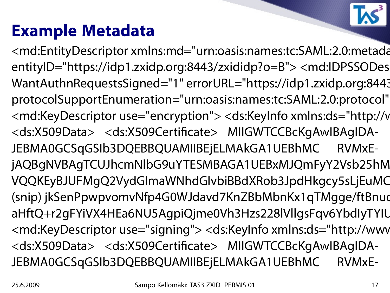#### **Example Metadata**

<md:EntityDescriptor xmlns:md="urn:oasis:names:tc:SAML:2.0:metada entityID="https://idp1.zxidp.org:8443/zxididp?o=B"> <md:IDPSSODes WantAuthnRequestsSigned="1" errorURL="https://idp1.zxidp.org:8443 protocolSupportEnumeration="urn:oasis:names:tc:SAML:2.0:protocol" <md:KeyDescriptor use="encryption"> <ds:KeyInfo xmlns:ds="http://v <ds:X509Data> <ds:X509Certificate> MIIGWTCCBcKgAwIBAgIDA-JEBMA0GCSqGSIb3DQEBBQUAMIIBEjELMAkGA1UEBhMC RVMxEjAQBgNVBAgTCUJhcmNlbG9uYTESMBAGA1UEBxMJQmFyY2Vsb25hM VQQKEyBJUFMgQ2VydGlmaWNhdGlvbiBBdXRob3JpdHkgcy5sLjEuMC (snip) jkSenPpwpvomvNfp4G0WJdavd7KnZBbMbnKx1qTMgge/ftBnud aHftQ+r2gFYiVX4HEa6NU5AgpiQjme0Vh3Hzs228lVllgsFqv6YbdlyTYIU <md:KeyDescriptor use="signing"> <ds:KeyInfo xmlns:ds="http://www <ds:X509Data> <ds:X509Certificate> MIIGWTCCBcKgAwIBAgIDA-JEBMA0GCSqGSIb3DQEBBQUAMIIBEjELMAkGA1UEBhMC RVMxE-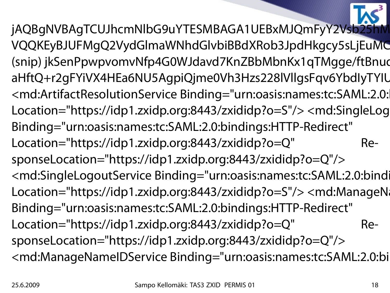jAQBgNVBAgTCUJhcmNlbG9uYTESMBAGA1UEBxMJQmFyY2Vsb25 VQQKEyBJUFMgQ2VydGlmaWNhdGlvbiBBdXRob3JpdHkgcy5sLjEuMC (snip) jkSenPpwpvomvNfp4G0WJdavd7KnZBbMbnKx1qTMgge/ftBnud aHftQ+r2gFYiVX4HEa6NU5AgpiQjme0Vh3Hzs228lVllgsFqv6YbdIyTYIU <md:ArtifactResolutionService Binding="urn:oasis:names:tc:SAML:2.0: Location="https://idp1.zxidp.org:8443/zxididp?o=S"/> <md:SingleLog Binding="urn:oasis:names:tc:SAML:2.0:bindings:HTTP-Redirect" Location="https://idp1.zxidp.org:8443/zxididp?o=Q" ResponseLocation="https://idp1.zxidp.org:8443/zxididp?o=Q"/> <md:SingleLogoutService Binding="urn:oasis:names:tc:SAML:2.0:bindi Location="https://idp1.zxidp.org:8443/zxididp?o=S"/> <md:ManageNa Binding="urn:oasis:names:tc:SAML:2.0:bindings:HTTP-Redirect" Location="https://idp1.zxidp.org:8443/zxididp?o=Q" ResponseLocation="https://idp1.zxidp.org:8443/zxididp?o=Q"/> <md:ManageNameIDService Binding="urn:oasis:names:tc:SAML:2.0:bi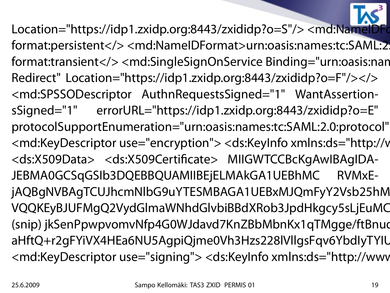Location="https://idp1.zxidp.org:8443/zxididp?o=S"/> <md:NameID format:persistent</><md:NameIDFormat>urn:oasis:names:tc:SAML:2 format:transient</> <md:SingleSignOnService Binding="urn:oasis:nan Redirect" Location="https://idp1.zxidp.org:8443/zxididp?o=F"/></> <md:SPSSODescriptor AuthnRequestsSigned="1" WantAssertionsSigned="1" errorURL="https://idp1.zxidp.org:8443/zxididp?o=E" protocolSupportEnumeration="urn:oasis:names:tc:SAML:2.0:protocol" <md:KeyDescriptor use="encryption"> <ds:KeyInfo xmlns:ds="http://v <ds:X509Data> <ds:X509Certificate> MIIGWTCCBcKgAwIBAgIDA-JEBMA0GCSqGSIb3DQEBBQUAMIIBEjELMAkGA1UEBhMC RVMxEjAQBgNVBAgTCUJhcmNlbG9uYTESMBAGA1UEBxMJQmFyY2Vsb25hM VQQKEyBJUFMgQ2VydGlmaWNhdGlvbiBBdXRob3JpdHkgcy5sLjEuMC (snip) jkSenPpwpvomvNfp4G0WJdavd7KnZBbMbnKx1qTMgge/ftBnud aHftQ+r2gFYiVX4HEa6NU5AgpiQjme0Vh3Hzs228lVllgsFqv6YbdlyTYIU <md:KeyDescriptor use="signing"> <ds:KeyInfo xmlns:ds="http://www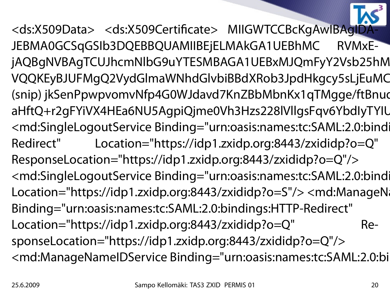<ds:X509Data> <ds:X509Certificate> MIIGWTCCBcKgAwIBAgID JEBMA0GCSqGSIb3DQEBBQUAMIIBEjELMAkGA1UEBhMC RVMxEjAQBgNVBAgTCUJhcmNlbG9uYTESMBAGA1UEBxMJQmFyY2Vsb25hM VQQKEyBJUFMgQ2VydGlmaWNhdGlvbiBBdXRob3JpdHkgcy5sLjEuMC (snip) jkSenPpwpvomvNfp4G0WJdavd7KnZBbMbnKx1qTMgge/ftBnud aHftQ+r2gFYiVX4HEa6NU5AgpiQjme0Vh3Hzs228lVllgsFqv6YbdIyTYIU <md:SingleLogoutService Binding="urn:oasis:names:tc:SAML:2.0:bindi Redirect" Location="https://idp1.zxidp.org:8443/zxididp?o=Q" ResponseLocation="https://idp1.zxidp.org:8443/zxididp?o=Q"/> <md:SingleLogoutService Binding="urn:oasis:names:tc:SAML:2.0:bindi Location="https://idp1.zxidp.org:8443/zxididp?o=S"/> <md:ManageNa Binding="urn:oasis:names:tc:SAML:2.0:bindings:HTTP-Redirect" Location="https://idp1.zxidp.org:8443/zxididp?o=Q" ResponseLocation="https://idp1.zxidp.org:8443/zxididp?o=Q"/> <md:ManageNameIDService Binding="urn:oasis:names:tc:SAML:2.0:bi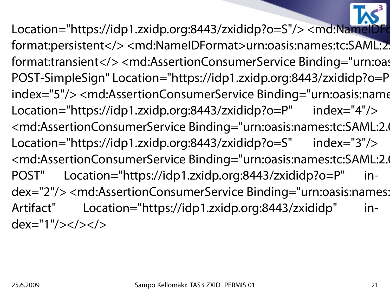Location="https://idp1.zxidp.org:8443/zxididp?o=S"/> <md:NameIDFo format:persistent</><md:NameIDFormat>urn:oasis:names:tc:SAML:2 format:transient</> <md:AssertionConsumerService Binding="urn:oas POST-SimpleSign" Location="https://idp1.zxidp.org:8443/zxididp?o=P" index="5"/> <md:AssertionConsumerService Binding="urn:oasis:name Location="https://idp1.zxidp.org:8443/zxididp?o=P" index="4"/> <md:AssertionConsumerService Binding="urn:oasis:names:tc:SAML:2.0 Location="https://idp1.zxidp.org:8443/zxididp?o=S" index="3"/> <md:AssertionConsumerService Binding="urn:oasis:names:tc:SAML:2.0 POST" Location="https://idp1.zxidp.org:8443/zxididp?o=P" index="2"/> <md:AssertionConsumerService Binding="urn:oasis:names: Artifact" Location="https://idp1.zxidp.org:8443/zxididp" in $dex="1"$ /> $\lt/$ > $\lt/$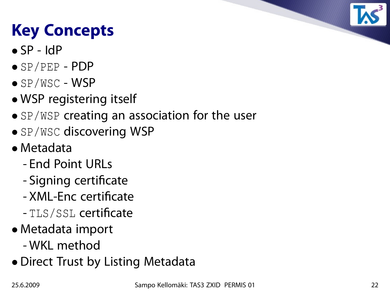## **Key Concepts**

- $\bullet$  SP IdP
- SP/PEP PDP
- SP/WSC WSP
- WSP registering itself
- SP/WSP creating an association for the user
- SP/WSC discovering WSP
- Metadata
	- End Point URLs
	- Signing certificate
	- XML-Enc certificate
	- TLS/SSL certificate
- Metadata import
	- WKL method
- Direct Trust by Listing Metadata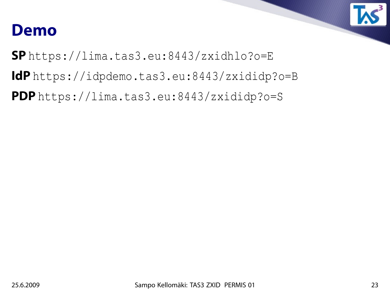#### **Demo**

**SP** https://lima.tas3.eu:8443/zxidhlo?o=E

**IdP** https://idpdemo.tas3.eu:8443/zxididp?o=B

**PDP** https://lima.tas3.eu:8443/zxididp?o=S

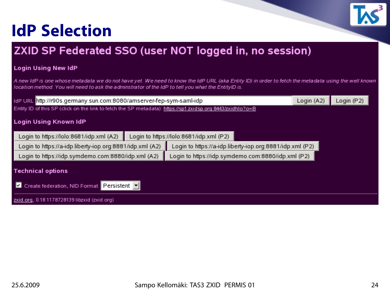#### **IdP Selection**



#### Login Using New IdP

A new IdP is one whose metadata we do not have yet. We need to know the IdP URL (aka Entity ID) in order to fetch the metadata using the well known location method. You will need to ask the adminstrator of the IdP to tell you what the EntityID is.

|                                                                                                            | ldP URL http://r90s.germany.sun.com:8080/amserver-fep-sym-saml-idp |                                                          |  |  |  |  |  |  |  |  |  |
|------------------------------------------------------------------------------------------------------------|--------------------------------------------------------------------|----------------------------------------------------------|--|--|--|--|--|--|--|--|--|
| Entity ID of this SP (click on the link to fetch the SP metadata): https://sp1.zxidsp.org:8443/zxidhlo?o=B |                                                                    |                                                          |  |  |  |  |  |  |  |  |  |
| Login Using Known IdP                                                                                      |                                                                    |                                                          |  |  |  |  |  |  |  |  |  |
| Login to https://lolo:8681/idp.xml (A2)                                                                    | Login to https://lolo:8681/idp.xml (P2)                            |                                                          |  |  |  |  |  |  |  |  |  |
| Login to https://a-idp.liberty-iop.org:8881/idp.xml (A2)                                                   |                                                                    | Login to https://a-idp.liberty-iop.org:8881/idp.xml (P2) |  |  |  |  |  |  |  |  |  |
| Login to https://idp.symdemo.com:8880/idp.xml (A2)                                                         |                                                                    | Login to https://idp.symdemo.com:8880/idp.xml (P2)       |  |  |  |  |  |  |  |  |  |
| Technical options                                                                                          |                                                                    |                                                          |  |  |  |  |  |  |  |  |  |
| Create federation, NID Format: Persistent<br>IИ                                                            |                                                                    |                                                          |  |  |  |  |  |  |  |  |  |
| zxid.org, 0.18 1178728139 libzxid (zxid.org)                                                               |                                                                    |                                                          |  |  |  |  |  |  |  |  |  |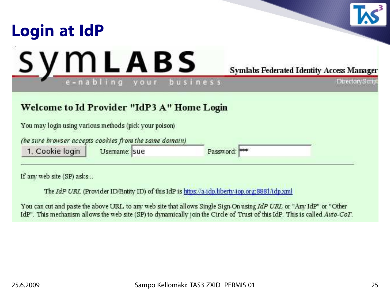

If any web site (SP) asks...

The IdP URL (Provider ID/Entity ID) of this IdP is https://a-idp.liberty-iop.org:8881/idp.xml

You can cut and paste the above URL to any web site that allows Single Sign-On using IdP URL or "Any IdP" or "Other IdP". This mechanism allows the web site (SP) to dynamically join the Circle of Trust of this IdP. This is called Auto-CoT.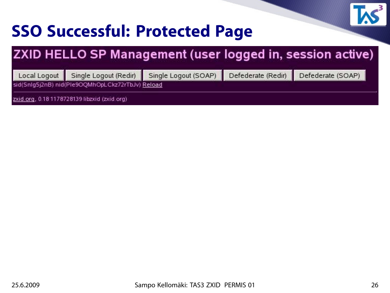

#### **SSO Successful: Protected Page**

#### ZXID HELLO SP Management (user logged in, session active)

Single Logout (Redir) Local Logout

Single Logout (SOAP)

Defederate (Redir)

Defederate (SOAP)

sid(Snlg5j2nB) nid(Ple9OQMhOpLCkz72rTbJv) Reload

zxid.org, 0.18 1178728139 libzxid (zxid.org)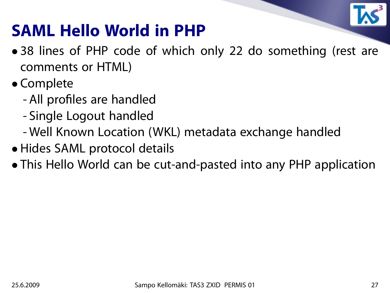

#### **SAML Hello World in PHP**

- 38 lines of PHP code of which only 22 do something (rest are comments or HTML)
- Complete
	- All profiles are handled
	- Single Logout handled
	- Well Known Location (WKL) metadata exchange handled
- Hides SAML protocol details
- This Hello World can be cut-and-pasted into any PHP application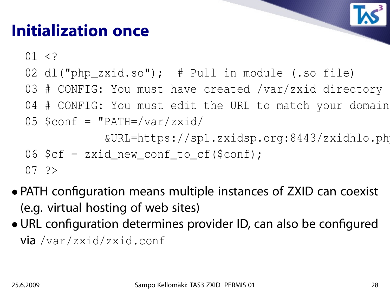#### **Initialization once**

 $01 < ?$ 

- 02 dl("php\_zxid.so"); # Pull in module (.so file)
- 03 # CONFIG: You must have created /var/zxid directory
- 04 # CONFIG: You must edit the URL to match your domain

$$
05
$$
  $\text{Sconf} = \text{``PATH='var/zxid/}$ 

&URL=https://sp1.zxidsp.org:8443/zxidhlo.php";

$$
06
$$
 \$cf = zxid\_new\_cond\_to\_cf (\$conf);

$$
07 \quad ?>
$$

- PATH configuration means multiple instances of ZXID can coexist (e.g. virtual hosting of web sites)
- URL configuration determines provider ID, can also be configured via /var/zxid/zxid.conf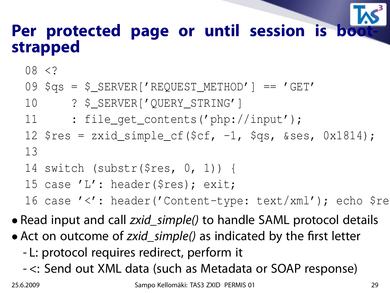#### Per protected page or until session is bo **strapped**

08 <?

- 09 \$qs = \$\_SERVER['REQUEST\_METHOD'] == 'GET'
- 10 ? \$\_SERVER['QUERY\_STRING']
- 11 : file\_get\_contents('php://input');
- 12  $\frac{12 \text{ } \text{S} \text{res} = \text{zxid\_simple\_cf}(\text{Scf}, -1, \text{Sqs}, \text{Sses}, 0 \text{x} 1814);$ 13
- 14 switch (substr(\$res, 0, 1)) {
- 15 case 'L': header(\$res); exit;

16 case '<': header('Content-type: text/xml'); echo \$re

• Read input and call *zxid\_simple()* to handle SAML protocol details

- Act on outcome of *zxid\_simple()* as indicated by the first letter
	- L: protocol requires redirect, perform it
	- <: Send out XML data (such as Metadata or SOAP response)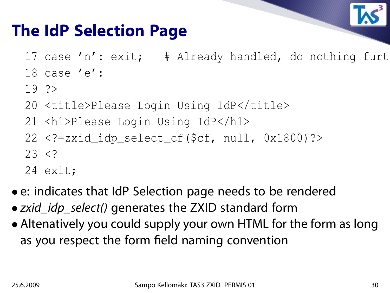

#### **The IdP Selection Page**

- 17 case 'n': exit; # Already handled, do nothing furt
- 18 case 'e':
- 19 ?>
- 20 <title>Please Login Using IdP</title>
- 21 <h1>Please Login Using IdP</h1>
- 22 <?=zxid\_idp\_select\_cf(\$cf, null, 0x1800)?>  $23 < ?$
- 24 exit;
- e: indicates that IdP Selection page needs to be rendered
- zxid\_idp\_select() generates the ZXID standard form
- Altenatively you could supply your own HTML for the form as long as you respect the form field naming convention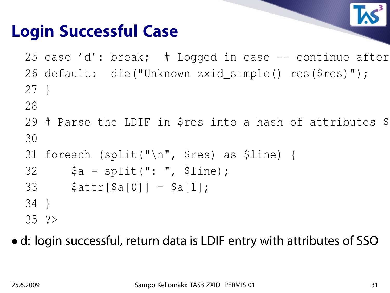

#### **Login Successful Case**

25 case 'd': break;  $\#$  Logged in case  $-$  continue after 26 default: die("Unknown zxid\_simple() res(\$res)"); 27 }

- 28
- 29 # Parse the LDIF in \$res into a hash of attributes \$ 30
- 31 foreach (split("\n", \$res) as \$line) {
- $32$   $$a = split(": ", 5line);$
- 33  $$attr[$a[0]] = $a[1];$
- 34 }
- 35 ?>

• d: login successful, return data is LDIF entry with attributes of SSO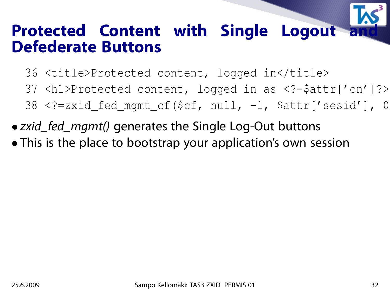# **Protected Content with Single Logout Defederate Buttons**

- 36 <title>Protected content, logged in</title>
- 37 <h1>Protected content, logged in as <?=\$attr['cn']?></h1>
- $38$  <?=zxid\_fed\_mgmt\_cf(\$cf, null, -1, \$attr['sesid'], 0
- *zxid\_fed\_mgmt()* generates the Single Log-Out buttons
- This is the place to bootstrap your application's own session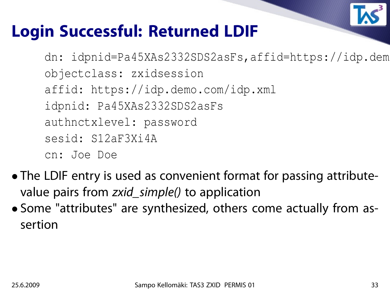

#### **Login Successful: Returned LDIF**

dn: idpnid=Pa45XAs2332SDS2asFs,affid=https://idp.dem objectclass: zxidsession affid: https://idp.demo.com/idp.xml idpnid: Pa45XAs2332SDS2asFs authnctxlevel: password sesid: S12aF3Xi4A cn: Joe Doe

- The LDIF entry is used as convenient format for passing attributevalue pairs from zxid\_simple() to application
- Some "attributes" are synthesized, others come actually from assertion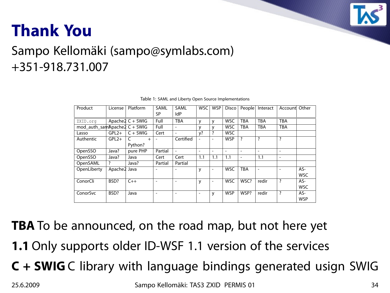

#### **Thank You**

#### Sampo Kellomäki (sampo@symlabs.com) +351-918.731.007

| Product                      | License      | Platform            | SAML<br><b>SP</b>        | <b>SAML</b><br><b>IdP</b> | <b>WSC</b>               | <b>WSP</b>               | <b>Disco</b>             | People                   | Interact                 | Account                  | Other      |
|------------------------------|--------------|---------------------|--------------------------|---------------------------|--------------------------|--------------------------|--------------------------|--------------------------|--------------------------|--------------------------|------------|
| ZXID.org                     |              | Apache $2 C + SWIG$ | Full                     | <b>TBA</b>                | v                        | v                        | <b>WSC</b>               | <b>TBA</b>               | <b>TBA</b>               | <b>TBA</b>               |            |
| mod_auth_samApache2 C + SWIG |              |                     | Full                     | $\overline{\phantom{0}}$  | v                        | v                        | <b>WSC</b>               | TBA                      | <b>TBA</b>               | <b>TBA</b>               |            |
| Lasso                        | $GPL2+$      | $C + SWIG$          | Cert                     | $\overline{\phantom{a}}$  | $y$ ?                    | ?                        | <b>WSC</b>               |                          |                          |                          |            |
| Authentic                    | $GPL2+$      | C<br>$^{+}$         | $\overline{\phantom{a}}$ | Certified                 |                          | $\overline{\phantom{a}}$ | <b>WSP</b>               | $\overline{\cdot}$       | ?                        | $\overline{?}$           |            |
|                              |              | Python?             |                          |                           |                          |                          |                          |                          |                          |                          |            |
| OpenSSO                      | Java?        | pure PHP            | Partial                  | $\overline{\phantom{a}}$  | $\overline{a}$           | $\overline{\phantom{0}}$ | $\overline{\phantom{0}}$ | $\overline{\phantom{a}}$ | $\overline{\phantom{a}}$ | $\overline{\phantom{a}}$ |            |
| OpenSSO                      | Java?        | Java                | Cert                     | Cert                      | 1.1                      | 1.1                      | 1.1                      | $\overline{\phantom{a}}$ | 1.1                      | $\overline{\phantom{a}}$ |            |
| OpenSAML                     | ?            | Java?               | Partial                  | Partial                   |                          |                          |                          |                          |                          |                          |            |
| OpenLiberty                  | Apache2 Java |                     |                          |                           | У                        | $\overline{\phantom{a}}$ | <b>WSC</b>               | <b>TBA</b>               |                          | $\overline{\phantom{a}}$ | AS-        |
|                              |              |                     |                          |                           |                          |                          |                          |                          |                          |                          | <b>WSC</b> |
| ConorCli                     | BSD?         | $C++$               | ٠                        | ٠                         | y                        | $\overline{\phantom{a}}$ | <b>WSC</b>               | WSC?                     | redir                    | ?                        | AS-        |
|                              |              |                     |                          |                           |                          |                          |                          |                          |                          |                          | <b>WSC</b> |
| ConorSvc                     | BSD?         | Java                | ٠                        |                           | $\overline{\phantom{a}}$ | y                        | <b>WSP</b>               | WSP?                     | redir                    | $\overline{\cdot}$       | AS-        |
|                              |              |                     |                          |                           |                          |                          |                          |                          |                          |                          | <b>WSP</b> |

Table 1: SAML and Liberty Open Source Implementations

**TBA** To be announced, on the road map, but not here yet

- **1.1** Only supports older ID-WSF 1.1 version of the services
- **C + SWIG** C library with language bindings generated usign SWIG